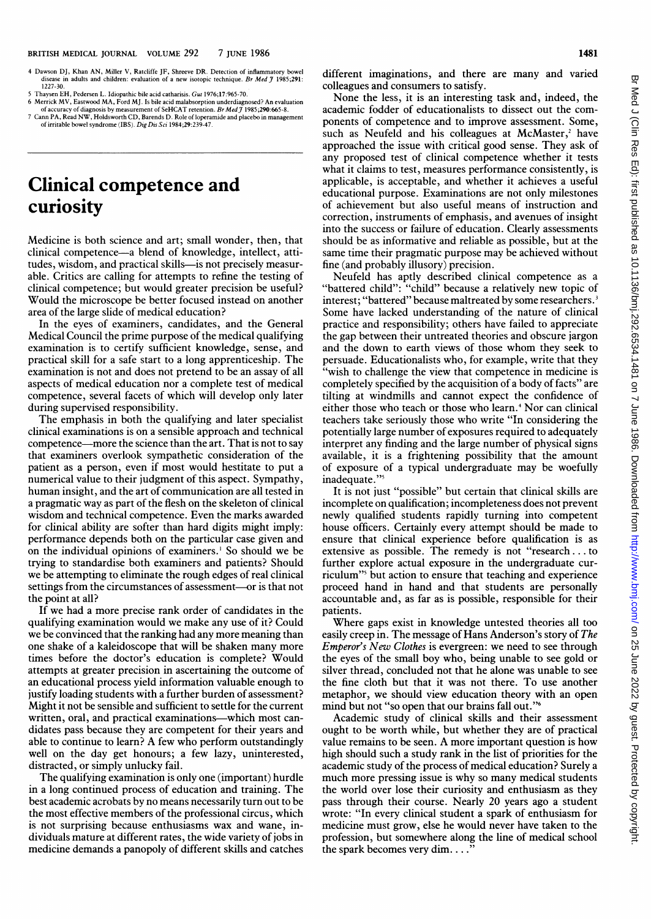- 4 Dawson DJ, Khan AN, Miller V, Ratcliffe JF, Shreeve DR. Detection of inflammatory bowel disease in adults and children: evaluation of a new isotopic technique. Br Med J 1985;291: 1227-30.
- 5 Thaysen EH, Pedersen L. Idiopathic bile acid catharisis. Gut 1976;17:965-70. 6 Merrick MV, Eastwood MA, Ford MI. Is bile acid malabsorption underdiagnosed? An evaluation
- 
- of accuracy of diagnosis by measurement of SeHCAT retention. *Br Med J* 1985;290:665-8.<br>7 Cann PA, Read NW, Holdsworth CD, Barends D. Role of loperamide and placebo in management of irritable bowel syndrome (IBS). Dig Dis Sci 1984;29:239-47.

## Clinical competence and curiosity

Medicine is both science and art; small wonder, then, that clinical competence-a blend of knowledge, intellect, attitudes, wisdom, and practical skills-is not precisely measurable. Critics are calling for attempts to refine the testing of clinical competence; but would greater precision be useful? Would the microscope be better focused instead on another area of the large slide of medical education?

In the eyes of examiners, candidates, and the General Medical Council the prime purpose of the medical qualifying examination is to certify sufficient knowledge, sense, and practical skill for a safe start to a long apprenticeship. The examination is not and does not pretend to be an assay of all aspects of medical education nor a complete test of medical competence, several facets of which will develop only later during supervised responsibility.

The emphasis in both the qualifying and later specialist clinical examinations is on a sensible approach and technical competence-more the science than the art. That is not to say that examiners overlook sympathetic consideration of the patient as a person, even if most would hestitate to put a numerical value to their judgment of this aspect. Sympathy, human insight, and the art of communication are all tested in a pragmatic way as part of the flesh on the skeleton of clinical wisdom and technical competence. Even the marks awarded for clinical ability are softer than hard digits might imply: performance depends both on the particular case given and on the individual opinions of examiners.' So should we be trying to standardise both examiners and patients? Should we be attempting to eliminate the rough edges of real clinical settings from the circumstances of assessment-or is that not the point at all?

If we had a more precise rank order of candidates in the qualifying examination would we make any use of it? Could we be convinced that the ranking had any more meaning than one shake of a kaleidoscope that will be shaken many more times before the doctor's education is complete? Would attempts at greater precision in ascertaining the outcome of an educational process yield information valuable enough to justify loading students with a further burden of assessment? Might it not be sensible and sufficient to settle for the current written, oral, and practical examinations-which most candidates pass because they are competent for their years and able to continue to learn? A few who perform outstandingly well on the day get honours; a few lazy, uninterested, distracted, or simply unlucky fail.

The qualifying examination is only one (important) hurdle in a long continued process of education and training. The best academic acrobats by no means necessarily turn out to be the most effective members of the professional circus, which is not surprising because enthusiasms wax and wane, individuals mature at different rates, the wide variety of jobs in medicine demands a panopoly of different skills and catches different imaginations, and there are many and varied colleagues and consumers to satisfy.

None the less, it is an interesting task and, indeed, the academic fodder of educationalists to dissect out the components of competence and to improve assessment. Some, such as Neufeld and his colleagues at McMaster, $<sup>2</sup>$  have</sup> approached the issue with critical good sense. They ask of any proposed test of clinical competence whether it tests what it claims to test, measures performance consistently, is applicable, is acceptable, and whether it achieves a useful educational purpose. Examinations are not only milestones of achievement but also useful means of instruction and correction, instruments of emphasis, and avenues of insight into the success or failure of education. Clearly assessments should be as informative and reliable as possible, but at the same time their pragmatic purpose may be achieved without fine (and probably illusory) precision.

Neufeld has aptly described clinical competence as a "battered child": "child" because a relatively new topic of interest; "battered" because maltreated by some researchers.<sup>3</sup> Some have lacked understanding of the nature of clinical practice and responsibility; others have failed to appreciate the gap between their untreated theories and obscure jargon and the down to earth views of those whom they seek to persuade. Educationalists who, for example, write that they "wish to challenge the view that competence in medicine is completely specified by the acquisition of a body of facts" are tilting at windmills and cannot expect the confidence of either those who teach or those who learn.<sup>4</sup> Nor can clinical teachers take seriously those who write "In considering the potentially large number of exposures required to adequately interpret any finding and the large number of physical signs available, it is a frightening possibility that the amount of exposure of a typical undergraduate may be woefully inadequate."

It is not just "possible" but certain that clinical skills are incomplete on qualification; incompleteness does not prevent newly qualified students rapidly turning into competent house officers. Certainly every attempt should be made to ensure that clinical experience before qualification is as extensive as possible. The remedy is not "research...to further explore actual exposure in the undergraduate curriculum"<sup>5</sup> but action to ensure that teaching and experience proceed hand in hand and that students are personally accountable and, as far as is possible, responsible for their patients.

Where gaps exist in knowledge untested theories all too easily creep in. The message of Hans Anderson's story of The Emperor's New Clothes is evergreen: we need to see through the eyes of the small boy who, being unable to see gold or silver thread, concluded not that he alone was unable to see the fine cloth but that it was not there. To use another metaphor, we should view education theory with an open mind but not "so open that our brains fall out."

Academic study of clinical skills and their assessment ought to be worth while, but whether they are of practical value remains to be seen. A more important question is how high should such a study rank in the list of priorities for the academic study of the process of medical education? Surely a much more pressing issue is why so many medical students the world over lose their curiosity and enthusiasm as they pass through their course. Nearly 20 years ago a student wrote: "In every clinical student a spark of enthusiasm for medicine must grow, else he would never have taken to the profession, but somewhere along the line of medical school the spark becomes very dim....